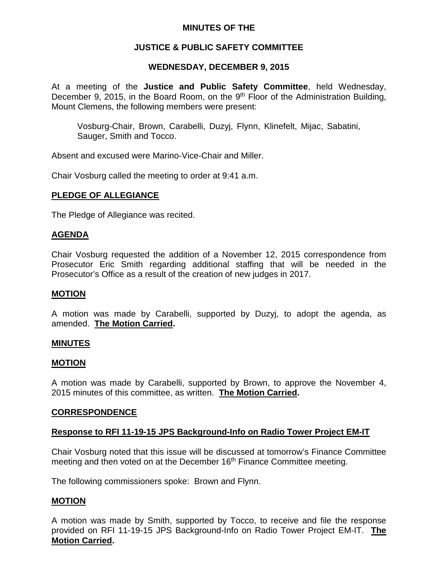# **MINUTES OF THE**

# **JUSTICE & PUBLIC SAFETY COMMITTEE**

# **WEDNESDAY, DECEMBER 9, 2015**

At a meeting of the **Justice and Public Safety Committee**, held Wednesday, December 9, 2015, in the Board Room, on the 9<sup>th</sup> Floor of the Administration Building, Mount Clemens, the following members were present:

Vosburg-Chair, Brown, Carabelli, Duzyj, Flynn, Klinefelt, Mijac, Sabatini, Sauger, Smith and Tocco.

Absent and excused were Marino-Vice-Chair and Miller.

Chair Vosburg called the meeting to order at 9:41 a.m.

### **PLEDGE OF ALLEGIANCE**

The Pledge of Allegiance was recited.

#### **AGENDA**

Chair Vosburg requested the addition of a November 12, 2015 correspondence from Prosecutor Eric Smith regarding additional staffing that will be needed in the Prosecutor's Office as a result of the creation of new judges in 2017.

#### **MOTION**

A motion was made by Carabelli, supported by Duzyj, to adopt the agenda, as amended. **The Motion Carried.**

#### **MINUTES**

#### **MOTION**

A motion was made by Carabelli, supported by Brown, to approve the November 4, 2015 minutes of this committee, as written. **The Motion Carried.**

#### **CORRESPONDENCE**

#### **Response to RFI 11-19-15 JPS Background-Info on Radio Tower Project EM-IT**

Chair Vosburg noted that this issue will be discussed at tomorrow's Finance Committee meeting and then voted on at the December 16<sup>th</sup> Finance Committee meeting.

The following commissioners spoke: Brown and Flynn.

#### **MOTION**

A motion was made by Smith, supported by Tocco, to receive and file the response provided on RFI 11-19-15 JPS Background-Info on Radio Tower Project EM-IT. **The Motion Carried.**